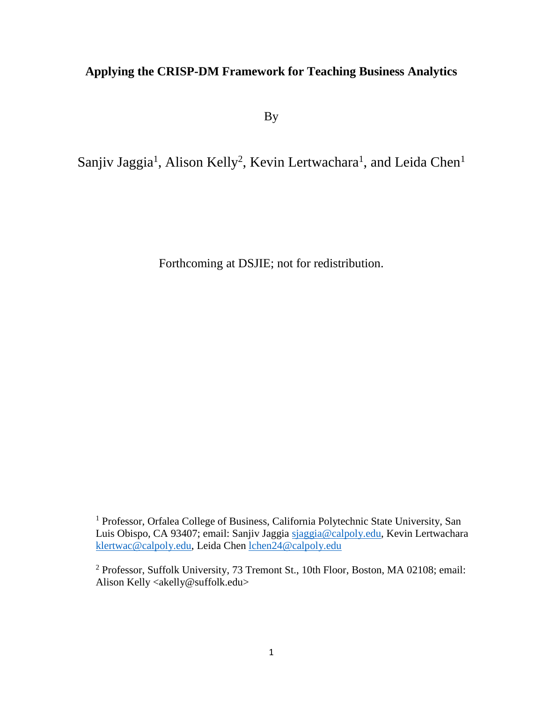# **Applying the CRISP-DM Framework for Teaching Business Analytics**

By

Sanjiv Jaggia<sup>1</sup>, Alison Kelly<sup>2</sup>, Kevin Lertwachara<sup>1</sup>, and Leida Chen<sup>1</sup>

Forthcoming at DSJIE; not for redistribution.

<sup>&</sup>lt;sup>1</sup> Professor, Orfalea College of Business, California Polytechnic State University, San Luis Obispo, CA 93407; email: Sanjiv Jaggia [sjaggia@calpoly.edu,](mailto:sjaggia@calpoly.edu) Kevin Lertwachara [klertwac@calpoly.edu,](mailto:klertwac@calpoly.edu) Leida Chen [lchen24@calpoly.edu](mailto:lchen24@calpoly.edu)

<sup>2</sup> Professor, Suffolk University, 73 Tremont St., 10th Floor, Boston, MA 02108; email: Alison Kelly <akelly@suffolk.edu>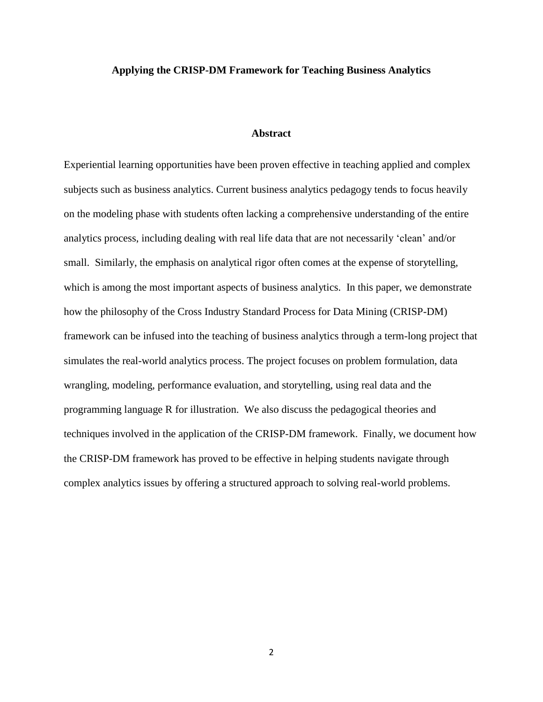#### **Applying the CRISP-DM Framework for Teaching Business Analytics**

#### **Abstract**

Experiential learning opportunities have been proven effective in teaching applied and complex subjects such as business analytics. Current business analytics pedagogy tends to focus heavily on the modeling phase with students often lacking a comprehensive understanding of the entire analytics process, including dealing with real life data that are not necessarily 'clean' and/or small. Similarly, the emphasis on analytical rigor often comes at the expense of storytelling, which is among the most important aspects of business analytics. In this paper, we demonstrate how the philosophy of the Cross Industry Standard Process for Data Mining (CRISP-DM) framework can be infused into the teaching of business analytics through a term-long project that simulates the real-world analytics process. The project focuses on problem formulation, data wrangling, modeling, performance evaluation, and storytelling, using real data and the programming language R for illustration. We also discuss the pedagogical theories and techniques involved in the application of the CRISP-DM framework. Finally, we document how the CRISP-DM framework has proved to be effective in helping students navigate through complex analytics issues by offering a structured approach to solving real-world problems.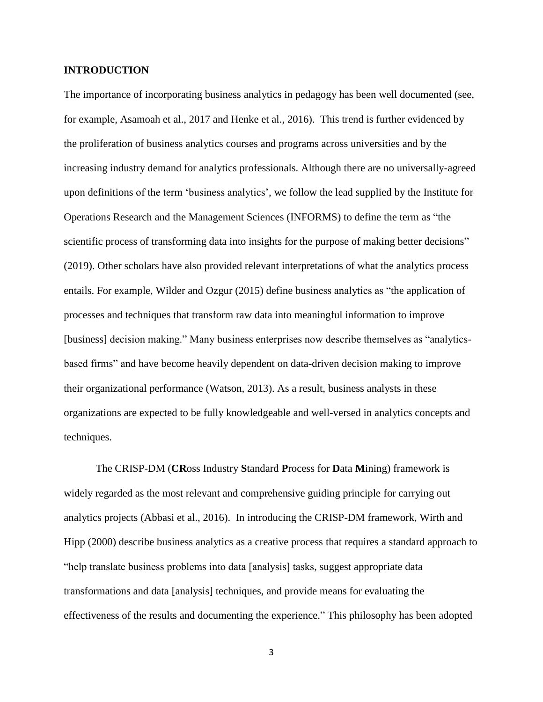#### **INTRODUCTION**

The importance of incorporating business analytics in pedagogy has been well documented (see, for example, Asamoah et al., 2017 and Henke et al., 2016). This trend is further evidenced by the proliferation of business analytics courses and programs across universities and by the increasing industry demand for analytics professionals. Although there are no universally-agreed upon definitions of the term 'business analytics', we follow the lead supplied by the Institute for Operations Research and the Management Sciences (INFORMS) to define the term as "the scientific process of transforming data into insights for the purpose of making better decisions" (2019). Other scholars have also provided relevant interpretations of what the analytics process entails. For example, Wilder and Ozgur (2015) define business analytics as "the application of processes and techniques that transform raw data into meaningful information to improve [business] decision making." Many business enterprises now describe themselves as "analyticsbased firms" and have become heavily dependent on data-driven decision making to improve their organizational performance (Watson, 2013). As a result, business analysts in these organizations are expected to be fully knowledgeable and well-versed in analytics concepts and techniques.

The CRISP-DM (**CR**oss Industry **S**tandard **P**rocess for **D**ata **M**ining) framework is widely regarded as the most relevant and comprehensive guiding principle for carrying out analytics projects (Abbasi et al., 2016). In introducing the CRISP-DM framework, Wirth and Hipp (2000) describe business analytics as a creative process that requires a standard approach to "help translate business problems into data [analysis] tasks, suggest appropriate data transformations and data [analysis] techniques, and provide means for evaluating the effectiveness of the results and documenting the experience." This philosophy has been adopted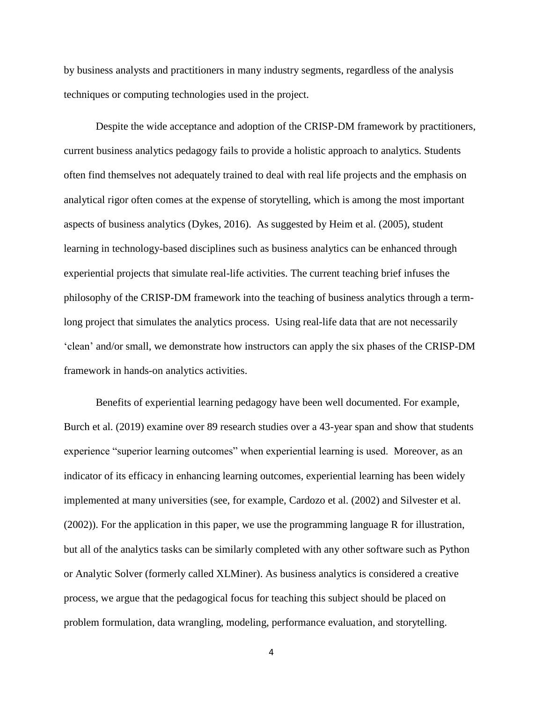by business analysts and practitioners in many industry segments, regardless of the analysis techniques or computing technologies used in the project.

Despite the wide acceptance and adoption of the CRISP-DM framework by practitioners, current business analytics pedagogy fails to provide a holistic approach to analytics. Students often find themselves not adequately trained to deal with real life projects and the emphasis on analytical rigor often comes at the expense of storytelling, which is among the most important aspects of business analytics (Dykes, 2016). As suggested by Heim et al. (2005), student learning in technology-based disciplines such as business analytics can be enhanced through experiential projects that simulate real-life activities. The current teaching brief infuses the philosophy of the CRISP-DM framework into the teaching of business analytics through a termlong project that simulates the analytics process. Using real-life data that are not necessarily 'clean' and/or small, we demonstrate how instructors can apply the six phases of the CRISP-DM framework in hands-on analytics activities.

Benefits of experiential learning pedagogy have been well documented. For example, Burch et al. (2019) examine over 89 research studies over a 43-year span and show that students experience "superior learning outcomes" when experiential learning is used. Moreover, as an indicator of its efficacy in enhancing learning outcomes, experiential learning has been widely implemented at many universities (see, for example, Cardozo et al. (2002) and Silvester et al. (2002)). For the application in this paper, we use the programming language R for illustration, but all of the analytics tasks can be similarly completed with any other software such as Python or Analytic Solver (formerly called XLMiner). As business analytics is considered a creative process, we argue that the pedagogical focus for teaching this subject should be placed on problem formulation, data wrangling, modeling, performance evaluation, and storytelling.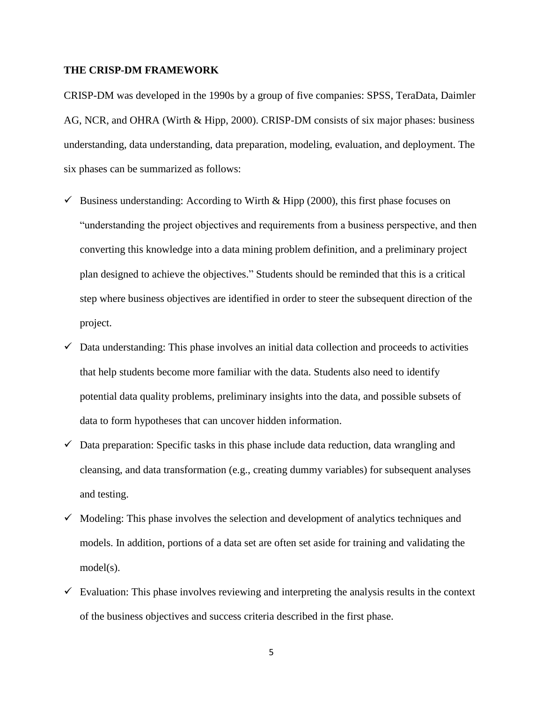#### **THE CRISP-DM FRAMEWORK**

CRISP-DM was developed in the 1990s by a group of five companies: SPSS, TeraData, Daimler AG, NCR, and OHRA (Wirth & Hipp, 2000). CRISP-DM consists of six major phases: business understanding, data understanding, data preparation, modeling, evaluation, and deployment. The six phases can be summarized as follows:

- $\checkmark$  Business understanding: According to Wirth & Hipp (2000), this first phase focuses on "understanding the project objectives and requirements from a business perspective, and then converting this knowledge into a data mining problem definition, and a preliminary project plan designed to achieve the objectives." Students should be reminded that this is a critical step where business objectives are identified in order to steer the subsequent direction of the project.
- $\checkmark$  Data understanding: This phase involves an initial data collection and proceeds to activities that help students become more familiar with the data. Students also need to identify potential data quality problems, preliminary insights into the data, and possible subsets of data to form hypotheses that can uncover hidden information.
- $\checkmark$  Data preparation: Specific tasks in this phase include data reduction, data wrangling and cleansing, and data transformation (e.g., creating dummy variables) for subsequent analyses and testing.
- $\checkmark$  Modeling: This phase involves the selection and development of analytics techniques and models. In addition, portions of a data set are often set aside for training and validating the model(s).
- $\checkmark$  Evaluation: This phase involves reviewing and interpreting the analysis results in the context of the business objectives and success criteria described in the first phase.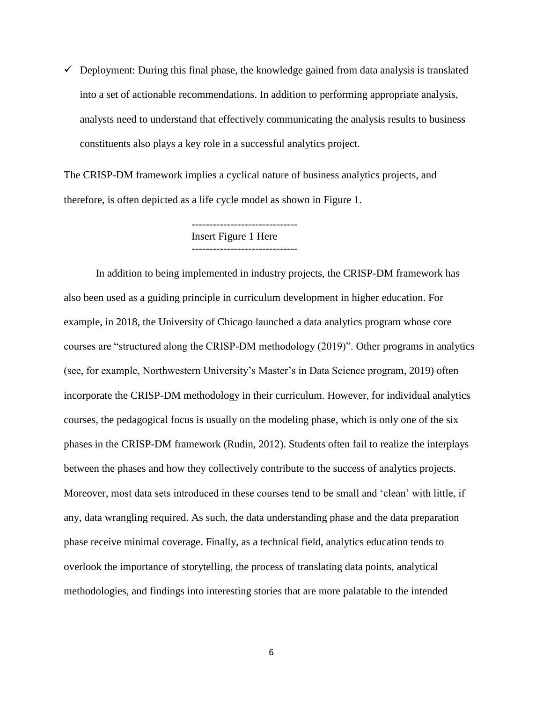$\checkmark$  Deployment: During this final phase, the knowledge gained from data analysis is translated into a set of actionable recommendations. In addition to performing appropriate analysis, analysts need to understand that effectively communicating the analysis results to business constituents also plays a key role in a successful analytics project.

The CRISP-DM framework implies a cyclical nature of business analytics projects, and therefore, is often depicted as a life cycle model as shown in Figure 1.

> Insert Figure 1 Here ------------------------------

In addition to being implemented in industry projects, the CRISP-DM framework has also been used as a guiding principle in curriculum development in higher education. For example, in 2018, the University of Chicago launched a data analytics program whose core courses are "structured along the CRISP-DM methodology (2019)". Other programs in analytics (see, for example, Northwestern University's Master's in Data Science program, 2019) often incorporate the CRISP-DM methodology in their curriculum. However, for individual analytics courses, the pedagogical focus is usually on the modeling phase, which is only one of the six phases in the CRISP-DM framework (Rudin, 2012). Students often fail to realize the interplays between the phases and how they collectively contribute to the success of analytics projects. Moreover, most data sets introduced in these courses tend to be small and 'clean' with little, if any, data wrangling required. As such, the data understanding phase and the data preparation phase receive minimal coverage. Finally, as a technical field, analytics education tends to overlook the importance of storytelling, the process of translating data points, analytical methodologies, and findings into interesting stories that are more palatable to the intended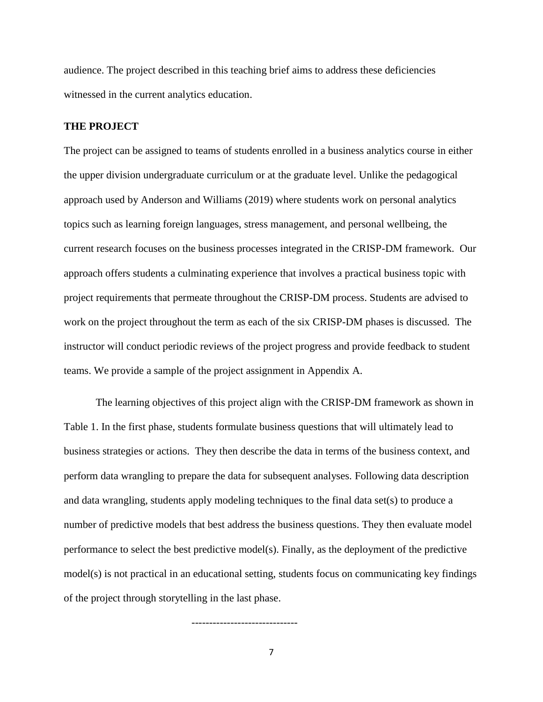audience. The project described in this teaching brief aims to address these deficiencies witnessed in the current analytics education.

#### **THE PROJECT**

The project can be assigned to teams of students enrolled in a business analytics course in either the upper division undergraduate curriculum or at the graduate level. Unlike the pedagogical approach used by Anderson and Williams (2019) where students work on personal analytics topics such as learning foreign languages, stress management, and personal wellbeing, the current research focuses on the business processes integrated in the CRISP-DM framework. Our approach offers students a culminating experience that involves a practical business topic with project requirements that permeate throughout the CRISP-DM process. Students are advised to work on the project throughout the term as each of the six CRISP-DM phases is discussed. The instructor will conduct periodic reviews of the project progress and provide feedback to student teams. We provide a sample of the project assignment in Appendix A.

The learning objectives of this project align with the CRISP-DM framework as shown in Table 1. In the first phase, students formulate business questions that will ultimately lead to business strategies or actions. They then describe the data in terms of the business context, and perform data wrangling to prepare the data for subsequent analyses. Following data description and data wrangling, students apply modeling techniques to the final data set(s) to produce a number of predictive models that best address the business questions. They then evaluate model performance to select the best predictive model(s). Finally, as the deployment of the predictive model(s) is not practical in an educational setting, students focus on communicating key findings of the project through storytelling in the last phase.

7

------------------------------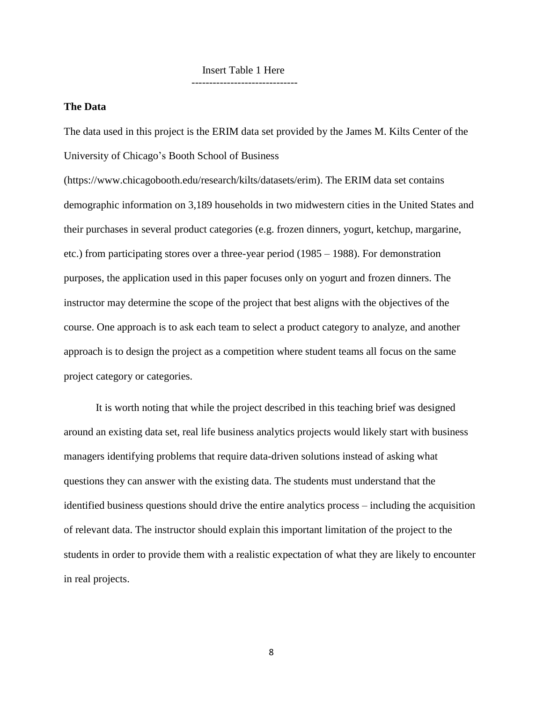#### Insert Table 1 Here ------------------------------

#### **The Data**

The data used in this project is the ERIM data set provided by the James M. Kilts Center of the University of Chicago's Booth School of Business

(https://www.chicagobooth.edu/research/kilts/datasets/erim). The ERIM data set contains demographic information on 3,189 households in two midwestern cities in the United States and their purchases in several product categories (e.g. frozen dinners, yogurt, ketchup, margarine, etc.) from participating stores over a three-year period (1985 – 1988). For demonstration purposes, the application used in this paper focuses only on yogurt and frozen dinners. The instructor may determine the scope of the project that best aligns with the objectives of the course. One approach is to ask each team to select a product category to analyze, and another approach is to design the project as a competition where student teams all focus on the same project category or categories.

It is worth noting that while the project described in this teaching brief was designed around an existing data set, real life business analytics projects would likely start with business managers identifying problems that require data-driven solutions instead of asking what questions they can answer with the existing data. The students must understand that the identified business questions should drive the entire analytics process – including the acquisition of relevant data. The instructor should explain this important limitation of the project to the students in order to provide them with a realistic expectation of what they are likely to encounter in real projects.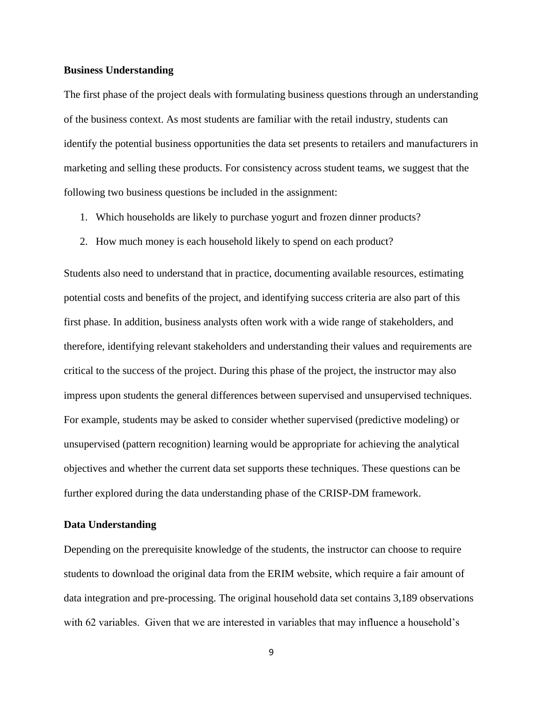#### **Business Understanding**

The first phase of the project deals with formulating business questions through an understanding of the business context. As most students are familiar with the retail industry, students can identify the potential business opportunities the data set presents to retailers and manufacturers in marketing and selling these products. For consistency across student teams, we suggest that the following two business questions be included in the assignment:

- 1. Which households are likely to purchase yogurt and frozen dinner products?
- 2. How much money is each household likely to spend on each product?

Students also need to understand that in practice, documenting available resources, estimating potential costs and benefits of the project, and identifying success criteria are also part of this first phase. In addition, business analysts often work with a wide range of stakeholders, and therefore, identifying relevant stakeholders and understanding their values and requirements are critical to the success of the project. During this phase of the project, the instructor may also impress upon students the general differences between supervised and unsupervised techniques. For example, students may be asked to consider whether supervised (predictive modeling) or unsupervised (pattern recognition) learning would be appropriate for achieving the analytical objectives and whether the current data set supports these techniques. These questions can be further explored during the data understanding phase of the CRISP-DM framework.

#### **Data Understanding**

Depending on the prerequisite knowledge of the students, the instructor can choose to require students to download the original data from the ERIM website, which require a fair amount of data integration and pre-processing. The original household data set contains 3,189 observations with 62 variables. Given that we are interested in variables that may influence a household's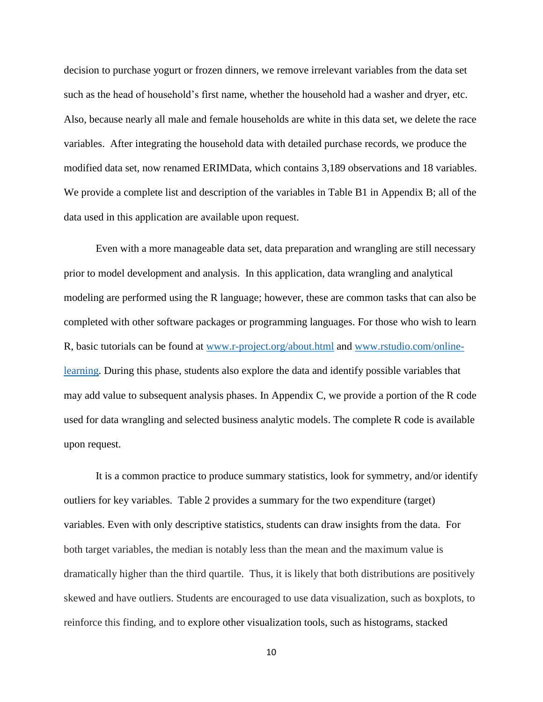decision to purchase yogurt or frozen dinners, we remove irrelevant variables from the data set such as the head of household's first name, whether the household had a washer and dryer, etc. Also, because nearly all male and female households are white in this data set, we delete the race variables. After integrating the household data with detailed purchase records, we produce the modified data set, now renamed ERIMData, which contains 3,189 observations and 18 variables. We provide a complete list and description of the variables in Table B1 in Appendix B; all of the data used in this application are available upon request.

Even with a more manageable data set, data preparation and wrangling are still necessary prior to model development and analysis. In this application, data wrangling and analytical modeling are performed using the R language; however, these are common tasks that can also be completed with other software packages or programming languages. For those who wish to learn R, basic tutorials can be found at [www.r-project.org/about.html](http://www.r-project.org/about.html) and [www.rstudio.com/online](http://www.rstudio.com/online-learning)[learning.](http://www.rstudio.com/online-learning) During this phase, students also explore the data and identify possible variables that may add value to subsequent analysis phases. In Appendix C, we provide a portion of the R code used for data wrangling and selected business analytic models. The complete R code is available upon request.

It is a common practice to produce summary statistics, look for symmetry, and/or identify outliers for key variables. Table 2 provides a summary for the two expenditure (target) variables. Even with only descriptive statistics, students can draw insights from the data. For both target variables, the median is notably less than the mean and the maximum value is dramatically higher than the third quartile. Thus, it is likely that both distributions are positively skewed and have outliers. Students are encouraged to use data visualization, such as boxplots, to reinforce this finding, and to explore other visualization tools, such as histograms, stacked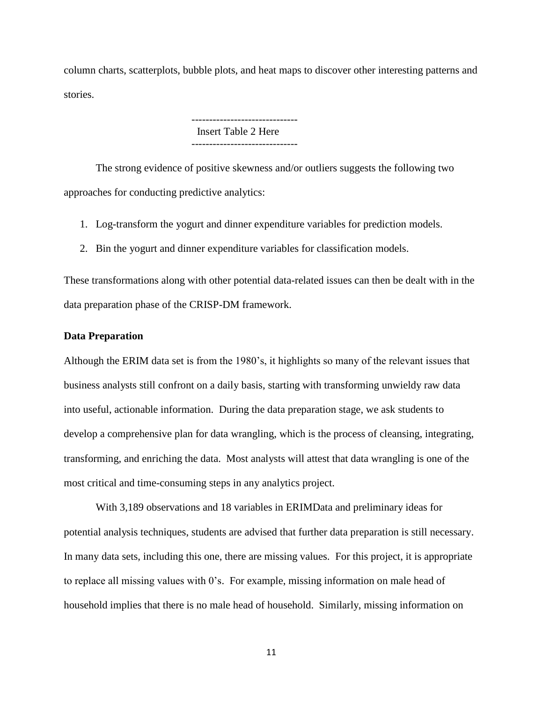column charts, scatterplots, bubble plots, and heat maps to discover other interesting patterns and stories.

> Insert Table 2 Here ------------------------------

The strong evidence of positive skewness and/or outliers suggests the following two approaches for conducting predictive analytics:

- 1. Log-transform the yogurt and dinner expenditure variables for prediction models.
- 2. Bin the yogurt and dinner expenditure variables for classification models.

These transformations along with other potential data-related issues can then be dealt with in the data preparation phase of the CRISP-DM framework.

#### **Data Preparation**

Although the ERIM data set is from the 1980's, it highlights so many of the relevant issues that business analysts still confront on a daily basis, starting with transforming unwieldy raw data into useful, actionable information. During the data preparation stage, we ask students to develop a comprehensive plan for data wrangling, which is the process of cleansing, integrating, transforming, and enriching the data. Most analysts will attest that data wrangling is one of the most critical and time-consuming steps in any analytics project.

With 3,189 observations and 18 variables in ERIMData and preliminary ideas for potential analysis techniques, students are advised that further data preparation is still necessary. In many data sets, including this one, there are missing values. For this project, it is appropriate to replace all missing values with 0's. For example, missing information on male head of household implies that there is no male head of household. Similarly, missing information on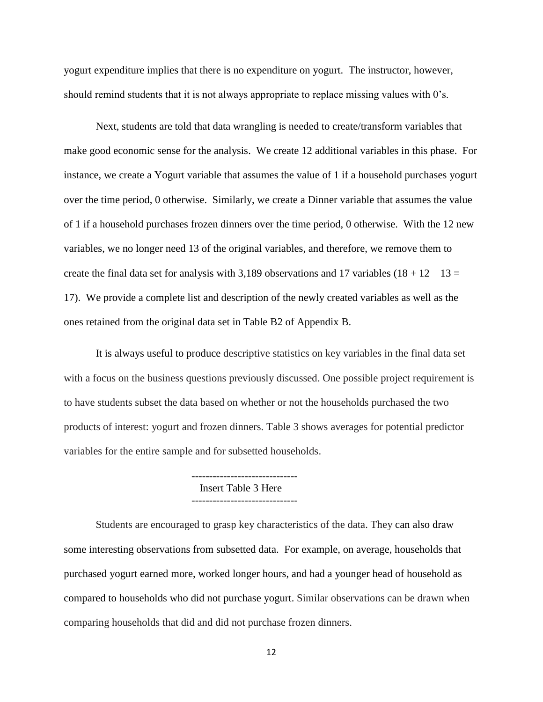yogurt expenditure implies that there is no expenditure on yogurt. The instructor, however, should remind students that it is not always appropriate to replace missing values with 0's.

Next, students are told that data wrangling is needed to create/transform variables that make good economic sense for the analysis. We create 12 additional variables in this phase. For instance, we create a Yogurt variable that assumes the value of 1 if a household purchases yogurt over the time period, 0 otherwise. Similarly, we create a Dinner variable that assumes the value of 1 if a household purchases frozen dinners over the time period, 0 otherwise. With the 12 new variables, we no longer need 13 of the original variables, and therefore, we remove them to create the final data set for analysis with 3,189 observations and 17 variables  $(18 + 12 - 13 =$ 17). We provide a complete list and description of the newly created variables as well as the ones retained from the original data set in Table B2 of Appendix B.

It is always useful to produce descriptive statistics on key variables in the final data set with a focus on the business questions previously discussed. One possible project requirement is to have students subset the data based on whether or not the households purchased the two products of interest: yogurt and frozen dinners. Table 3 shows averages for potential predictor variables for the entire sample and for subsetted households.

> ------------------------------ Insert Table 3 Here

Students are encouraged to grasp key characteristics of the data. They can also draw some interesting observations from subsetted data. For example, on average, households that purchased yogurt earned more, worked longer hours, and had a younger head of household as compared to households who did not purchase yogurt. Similar observations can be drawn when comparing households that did and did not purchase frozen dinners.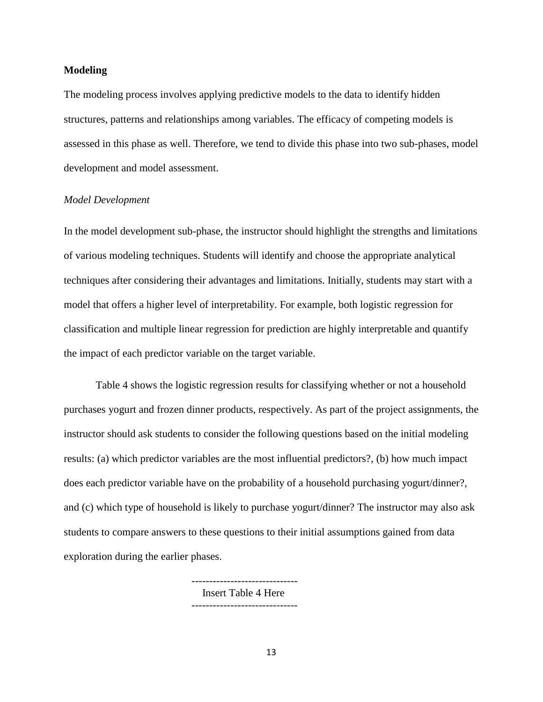#### **Modeling**

The modeling process involves applying predictive models to the data to identify hidden structures, patterns and relationships among variables. The efficacy of competing models is assessed in this phase as well. Therefore, we tend to divide this phase into two sub-phases, model development and model assessment.

#### *Model Development*

In the model development sub-phase, the instructor should highlight the strengths and limitations of various modeling techniques. Students will identify and choose the appropriate analytical techniques after considering their advantages and limitations. Initially, students may start with a model that offers a higher level of interpretability. For example, both logistic regression for classification and multiple linear regression for prediction are highly interpretable and quantify the impact of each predictor variable on the target variable.

Table 4 shows the logistic regression results for classifying whether or not a household purchases yogurt and frozen dinner products, respectively. As part of the project assignments, the instructor should ask students to consider the following questions based on the initial modeling results: (a) which predictor variables are the most influential predictors?, (b) how much impact does each predictor variable have on the probability of a household purchasing yogurt/dinner?, and (c) which type of household is likely to purchase yogurt/dinner? The instructor may also ask students to compare answers to these questions to their initial assumptions gained from data exploration during the earlier phases.

> Insert Table 4 Here ------------------------------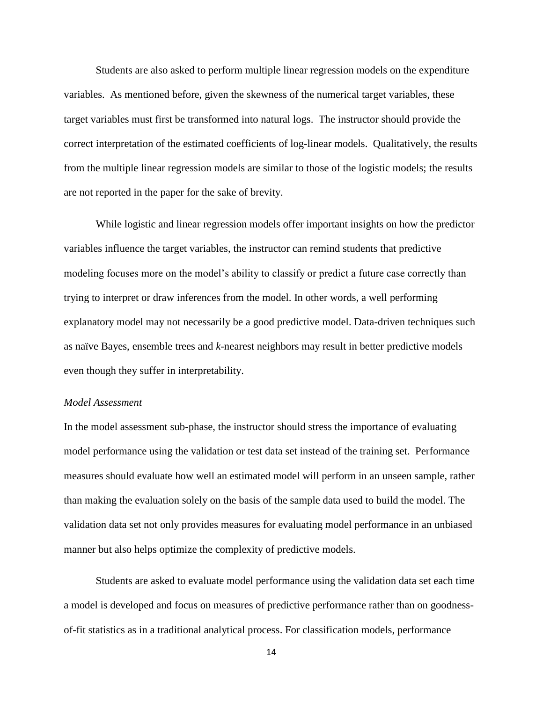Students are also asked to perform multiple linear regression models on the expenditure variables. As mentioned before, given the skewness of the numerical target variables, these target variables must first be transformed into natural logs. The instructor should provide the correct interpretation of the estimated coefficients of log-linear models. Qualitatively, the results from the multiple linear regression models are similar to those of the logistic models; the results are not reported in the paper for the sake of brevity.

While logistic and linear regression models offer important insights on how the predictor variables influence the target variables, the instructor can remind students that predictive modeling focuses more on the model's ability to classify or predict a future case correctly than trying to interpret or draw inferences from the model. In other words, a well performing explanatory model may not necessarily be a good predictive model. Data-driven techniques such as naïve Bayes, ensemble trees and *k*-nearest neighbors may result in better predictive models even though they suffer in interpretability.

#### *Model Assessment*

In the model assessment sub-phase, the instructor should stress the importance of evaluating model performance using the validation or test data set instead of the training set. Performance measures should evaluate how well an estimated model will perform in an unseen sample, rather than making the evaluation solely on the basis of the sample data used to build the model. The validation data set not only provides measures for evaluating model performance in an unbiased manner but also helps optimize the complexity of predictive models.

Students are asked to evaluate model performance using the validation data set each time a model is developed and focus on measures of predictive performance rather than on goodnessof-fit statistics as in a traditional analytical process. For classification models, performance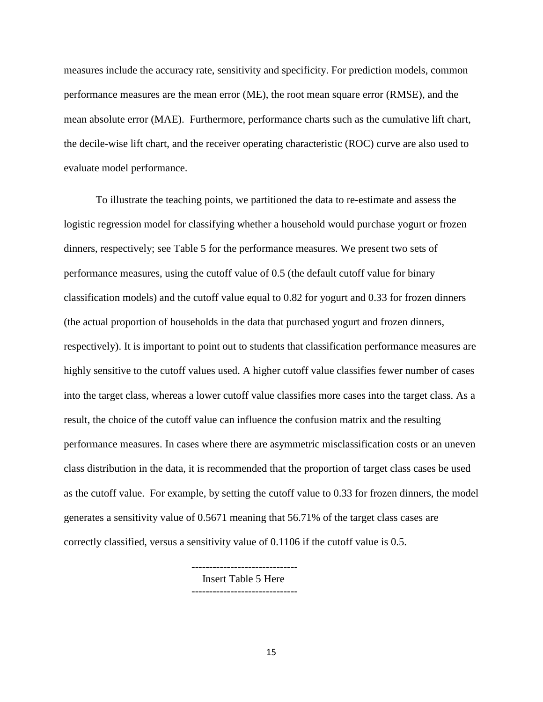measures include the accuracy rate, sensitivity and specificity. For prediction models, common performance measures are the mean error (ME), the root mean square error (RMSE), and the mean absolute error (MAE). Furthermore, performance charts such as the cumulative lift chart, the decile-wise lift chart, and the receiver operating characteristic (ROC) curve are also used to evaluate model performance.

To illustrate the teaching points, we partitioned the data to re-estimate and assess the logistic regression model for classifying whether a household would purchase yogurt or frozen dinners, respectively; see Table 5 for the performance measures. We present two sets of performance measures, using the cutoff value of 0.5 (the default cutoff value for binary classification models) and the cutoff value equal to 0.82 for yogurt and 0.33 for frozen dinners (the actual proportion of households in the data that purchased yogurt and frozen dinners, respectively). It is important to point out to students that classification performance measures are highly sensitive to the cutoff values used. A higher cutoff value classifies fewer number of cases into the target class, whereas a lower cutoff value classifies more cases into the target class. As a result, the choice of the cutoff value can influence the confusion matrix and the resulting performance measures. In cases where there are asymmetric misclassification costs or an uneven class distribution in the data, it is recommended that the proportion of target class cases be used as the cutoff value. For example, by setting the cutoff value to 0.33 for frozen dinners, the model generates a sensitivity value of 0.5671 meaning that 56.71% of the target class cases are correctly classified, versus a sensitivity value of 0.1106 if the cutoff value is 0.5.

> ------------------------------ Insert Table 5 Here ------------------------------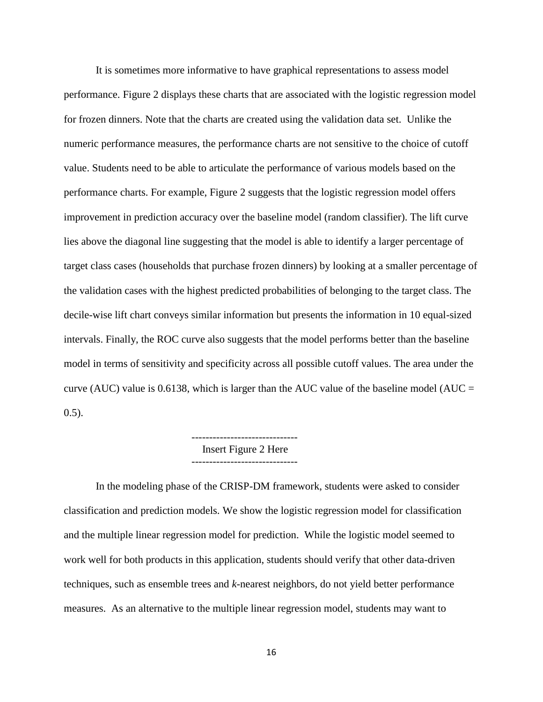It is sometimes more informative to have graphical representations to assess model performance. Figure 2 displays these charts that are associated with the logistic regression model for frozen dinners. Note that the charts are created using the validation data set. Unlike the numeric performance measures, the performance charts are not sensitive to the choice of cutoff value. Students need to be able to articulate the performance of various models based on the performance charts. For example, Figure 2 suggests that the logistic regression model offers improvement in prediction accuracy over the baseline model (random classifier). The lift curve lies above the diagonal line suggesting that the model is able to identify a larger percentage of target class cases (households that purchase frozen dinners) by looking at a smaller percentage of the validation cases with the highest predicted probabilities of belonging to the target class. The decile-wise lift chart conveys similar information but presents the information in 10 equal-sized intervals. Finally, the ROC curve also suggests that the model performs better than the baseline model in terms of sensitivity and specificity across all possible cutoff values. The area under the curve (AUC) value is 0.6138, which is larger than the AUC value of the baseline model (AUC = 0.5).

Insert Figure 2 Here

In the modeling phase of the CRISP-DM framework, students were asked to consider classification and prediction models. We show the logistic regression model for classification and the multiple linear regression model for prediction. While the logistic model seemed to work well for both products in this application, students should verify that other data-driven techniques, such as ensemble trees and *k*-nearest neighbors, do not yield better performance measures. As an alternative to the multiple linear regression model, students may want to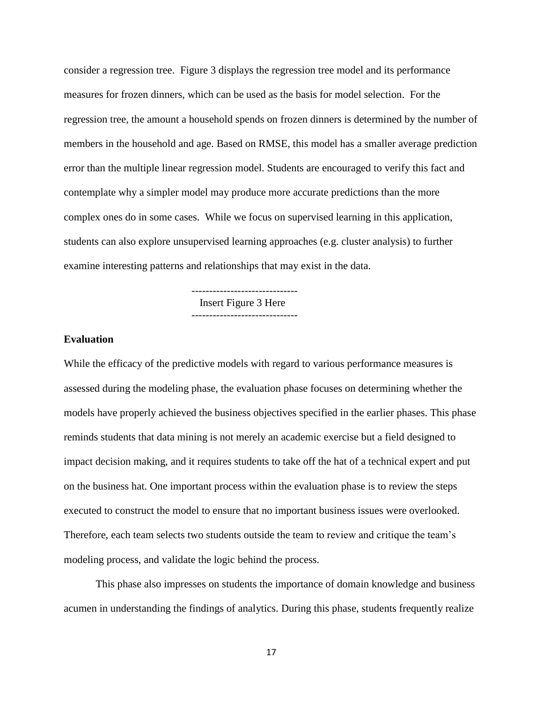consider a regression tree. Figure 3 displays the regression tree model and its performance measures for frozen dinners, which can be used as the basis for model selection. For the regression tree, the amount a household spends on frozen dinners is determined by the number of members in the household and age. Based on RMSE, this model has a smaller average prediction error than the multiple linear regression model. Students are encouraged to verify this fact and contemplate why a simpler model may produce more accurate predictions than the more complex ones do in some cases. While we focus on supervised learning in this application, students can also explore unsupervised learning approaches (e.g. cluster analysis) to further examine interesting patterns and relationships that may exist in the data.

> ------------------------------ Insert Figure 3 Here ------------------------------

#### **Evaluation**

While the efficacy of the predictive models with regard to various performance measures is assessed during the modeling phase, the evaluation phase focuses on determining whether the models have properly achieved the business objectives specified in the earlier phases. This phase reminds students that data mining is not merely an academic exercise but a field designed to impact decision making, and it requires students to take off the hat of a technical expert and put on the business hat. One important process within the evaluation phase is to review the steps executed to construct the model to ensure that no important business issues were overlooked. Therefore, each team selects two students outside the team to review and critique the team's modeling process, and validate the logic behind the process.

This phase also impresses on students the importance of domain knowledge and business acumen in understanding the findings of analytics. During this phase, students frequently realize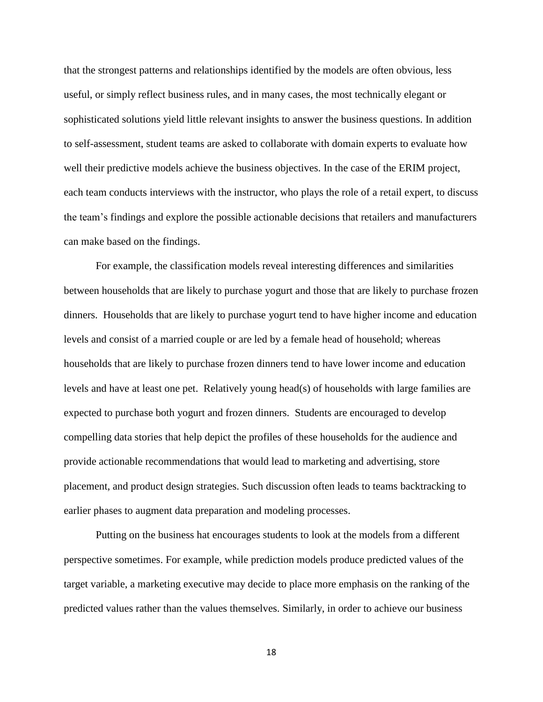that the strongest patterns and relationships identified by the models are often obvious, less useful, or simply reflect business rules, and in many cases, the most technically elegant or sophisticated solutions yield little relevant insights to answer the business questions. In addition to self-assessment, student teams are asked to collaborate with domain experts to evaluate how well their predictive models achieve the business objectives. In the case of the ERIM project, each team conducts interviews with the instructor, who plays the role of a retail expert, to discuss the team's findings and explore the possible actionable decisions that retailers and manufacturers can make based on the findings.

For example, the classification models reveal interesting differences and similarities between households that are likely to purchase yogurt and those that are likely to purchase frozen dinners. Households that are likely to purchase yogurt tend to have higher income and education levels and consist of a married couple or are led by a female head of household; whereas households that are likely to purchase frozen dinners tend to have lower income and education levels and have at least one pet. Relatively young head(s) of households with large families are expected to purchase both yogurt and frozen dinners. Students are encouraged to develop compelling data stories that help depict the profiles of these households for the audience and provide actionable recommendations that would lead to marketing and advertising, store placement, and product design strategies. Such discussion often leads to teams backtracking to earlier phases to augment data preparation and modeling processes.

Putting on the business hat encourages students to look at the models from a different perspective sometimes. For example, while prediction models produce predicted values of the target variable, a marketing executive may decide to place more emphasis on the ranking of the predicted values rather than the values themselves. Similarly, in order to achieve our business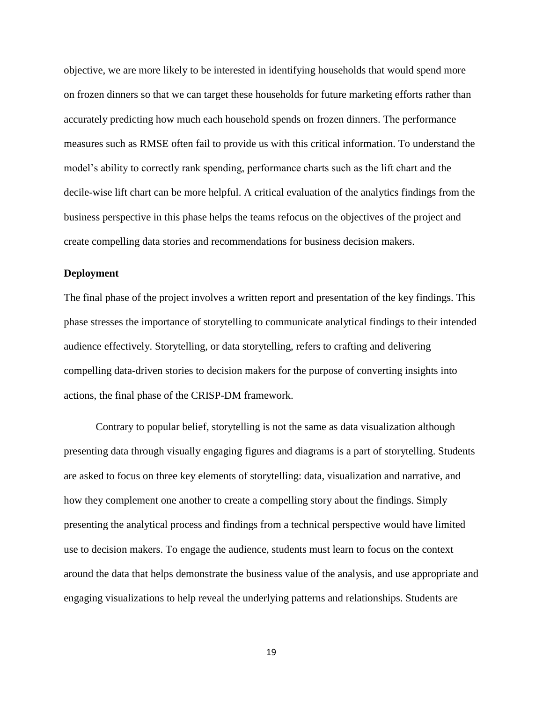objective, we are more likely to be interested in identifying households that would spend more on frozen dinners so that we can target these households for future marketing efforts rather than accurately predicting how much each household spends on frozen dinners. The performance measures such as RMSE often fail to provide us with this critical information. To understand the model's ability to correctly rank spending, performance charts such as the lift chart and the decile-wise lift chart can be more helpful. A critical evaluation of the analytics findings from the business perspective in this phase helps the teams refocus on the objectives of the project and create compelling data stories and recommendations for business decision makers.

### **Deployment**

The final phase of the project involves a written report and presentation of the key findings. This phase stresses the importance of storytelling to communicate analytical findings to their intended audience effectively. Storytelling, or data storytelling, refers to crafting and delivering compelling data-driven stories to decision makers for the purpose of converting insights into actions, the final phase of the CRISP-DM framework.

Contrary to popular belief, storytelling is not the same as data visualization although presenting data through visually engaging figures and diagrams is a part of storytelling. Students are asked to focus on three key elements of storytelling: data, visualization and narrative, and how they complement one another to create a compelling story about the findings. Simply presenting the analytical process and findings from a technical perspective would have limited use to decision makers. To engage the audience, students must learn to focus on the context around the data that helps demonstrate the business value of the analysis, and use appropriate and engaging visualizations to help reveal the underlying patterns and relationships. Students are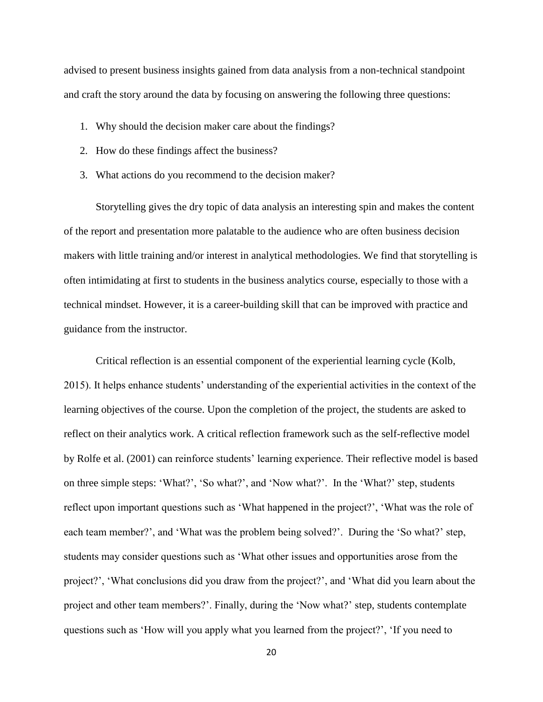advised to present business insights gained from data analysis from a non-technical standpoint and craft the story around the data by focusing on answering the following three questions:

- 1. Why should the decision maker care about the findings?
- 2. How do these findings affect the business?
- 3. What actions do you recommend to the decision maker?

Storytelling gives the dry topic of data analysis an interesting spin and makes the content of the report and presentation more palatable to the audience who are often business decision makers with little training and/or interest in analytical methodologies. We find that storytelling is often intimidating at first to students in the business analytics course, especially to those with a technical mindset. However, it is a career-building skill that can be improved with practice and guidance from the instructor.

Critical reflection is an essential component of the experiential learning cycle (Kolb, 2015). It helps enhance students' understanding of the experiential activities in the context of the learning objectives of the course. Upon the completion of the project, the students are asked to reflect on their analytics work. A critical reflection framework such as the self-reflective model by Rolfe et al. (2001) can reinforce students' learning experience. Their reflective model is based on three simple steps: 'What?', 'So what?', and 'Now what?'. In the 'What?' step, students reflect upon important questions such as 'What happened in the project?', 'What was the role of each team member?', and 'What was the problem being solved?'. During the 'So what?' step, students may consider questions such as 'What other issues and opportunities arose from the project?', 'What conclusions did you draw from the project?', and 'What did you learn about the project and other team members?'. Finally, during the 'Now what?' step, students contemplate questions such as 'How will you apply what you learned from the project?', 'If you need to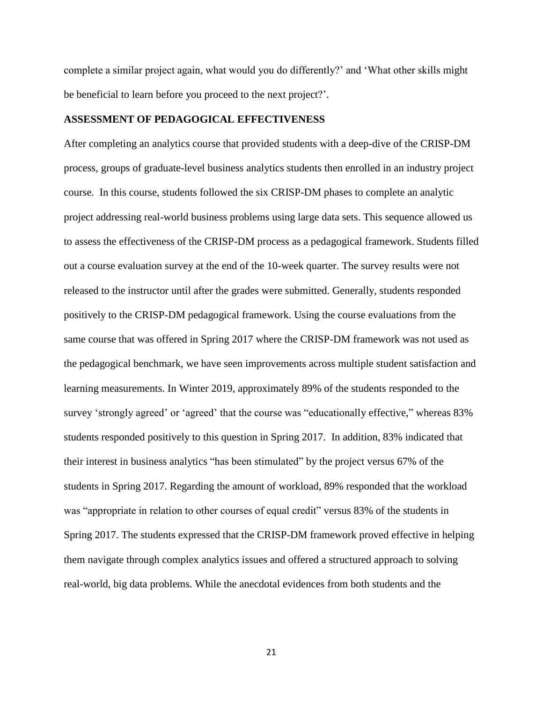complete a similar project again, what would you do differently?' and 'What other skills might be beneficial to learn before you proceed to the next project?'.

#### **ASSESSMENT OF PEDAGOGICAL EFFECTIVENESS**

After completing an analytics course that provided students with a deep-dive of the CRISP-DM process, groups of graduate-level business analytics students then enrolled in an industry project course. In this course, students followed the six CRISP-DM phases to complete an analytic project addressing real-world business problems using large data sets. This sequence allowed us to assess the effectiveness of the CRISP-DM process as a pedagogical framework. Students filled out a course evaluation survey at the end of the 10-week quarter. The survey results were not released to the instructor until after the grades were submitted. Generally, students responded positively to the CRISP-DM pedagogical framework. Using the course evaluations from the same course that was offered in Spring 2017 where the CRISP-DM framework was not used as the pedagogical benchmark, we have seen improvements across multiple student satisfaction and learning measurements. In Winter 2019, approximately 89% of the students responded to the survey 'strongly agreed' or 'agreed' that the course was "educationally effective," whereas 83% students responded positively to this question in Spring 2017. In addition, 83% indicated that their interest in business analytics "has been stimulated" by the project versus 67% of the students in Spring 2017. Regarding the amount of workload, 89% responded that the workload was "appropriate in relation to other courses of equal credit" versus 83% of the students in Spring 2017. The students expressed that the CRISP-DM framework proved effective in helping them navigate through complex analytics issues and offered a structured approach to solving real-world, big data problems. While the anecdotal evidences from both students and the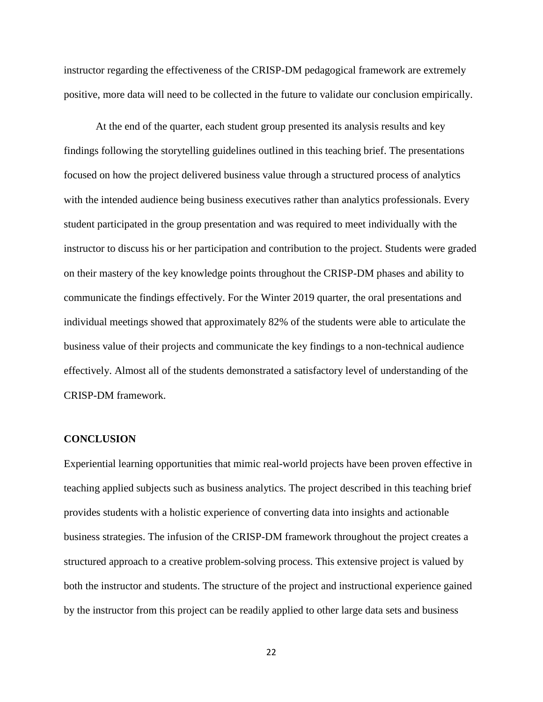instructor regarding the effectiveness of the CRISP-DM pedagogical framework are extremely positive, more data will need to be collected in the future to validate our conclusion empirically.

At the end of the quarter, each student group presented its analysis results and key findings following the storytelling guidelines outlined in this teaching brief. The presentations focused on how the project delivered business value through a structured process of analytics with the intended audience being business executives rather than analytics professionals. Every student participated in the group presentation and was required to meet individually with the instructor to discuss his or her participation and contribution to the project. Students were graded on their mastery of the key knowledge points throughout the CRISP-DM phases and ability to communicate the findings effectively. For the Winter 2019 quarter, the oral presentations and individual meetings showed that approximately 82% of the students were able to articulate the business value of their projects and communicate the key findings to a non-technical audience effectively. Almost all of the students demonstrated a satisfactory level of understanding of the CRISP-DM framework.

#### **CONCLUSION**

Experiential learning opportunities that mimic real-world projects have been proven effective in teaching applied subjects such as business analytics. The project described in this teaching brief provides students with a holistic experience of converting data into insights and actionable business strategies. The infusion of the CRISP-DM framework throughout the project creates a structured approach to a creative problem-solving process. This extensive project is valued by both the instructor and students. The structure of the project and instructional experience gained by the instructor from this project can be readily applied to other large data sets and business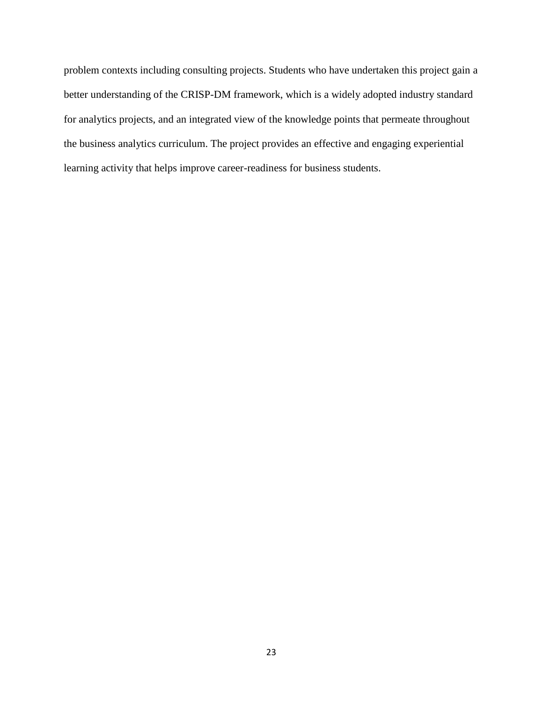problem contexts including consulting projects. Students who have undertaken this project gain a better understanding of the CRISP-DM framework, which is a widely adopted industry standard for analytics projects, and an integrated view of the knowledge points that permeate throughout the business analytics curriculum. The project provides an effective and engaging experiential learning activity that helps improve career-readiness for business students.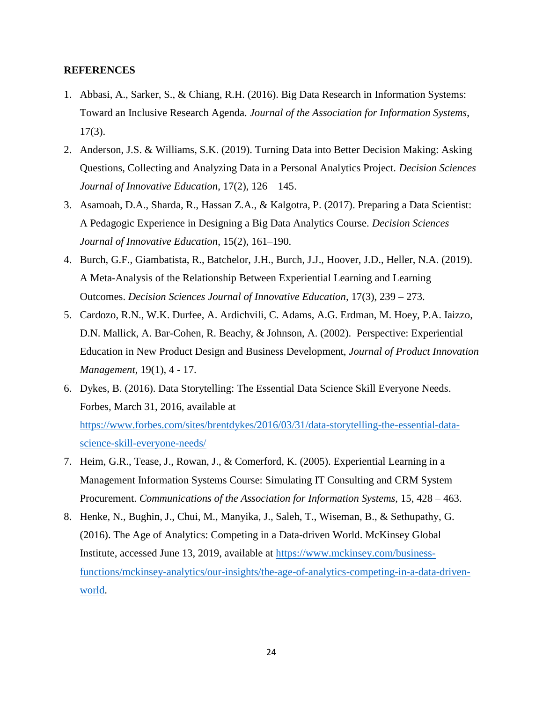#### **REFERENCES**

- 1. Abbasi, A., Sarker, S., & Chiang, R.H. (2016). Big Data Research in Information Systems: Toward an Inclusive Research Agenda. *Journal of the Association for Information Systems*, 17(3).
- 2. Anderson, J.S. & Williams, S.K. (2019). Turning Data into Better Decision Making: Asking Questions, Collecting and Analyzing Data in a Personal Analytics Project. *Decision Sciences Journal of Innovative Education*, 17(2), 126 – 145.
- 3. Asamoah, D.A., Sharda, R., Hassan Z.A., & Kalgotra, P. (2017). Preparing a Data Scientist: A Pedagogic Experience in Designing a Big Data Analytics Course. *Decision Sciences Journal of Innovative Education*, 15(2), 161–190.
- 4. Burch, G.F., Giambatista, R., Batchelor, J.H., Burch, J.J., Hoover, J.D., Heller, N.A. (2019). A Meta-Analysis of the Relationship Between Experiential Learning and Learning Outcomes. *Decision Sciences Journal of Innovative Education,* 17(3), 239 – 273.
- 5. Cardozo, R.N., W.K. Durfee, A. Ardichvili, C. Adams, A.G. Erdman, M. Hoey, P.A. Iaizzo, D.N. Mallick, A. Bar-Cohen, R. Beachy, & Johnson, A. (2002). Perspective: Experiential Education in New Product Design and Business Development, *Journal of Product Innovation Management*, 19(1), 4 - 17.
- 6. Dykes, B. (2016). Data Storytelling: The Essential Data Science Skill Everyone Needs. Forbes, March 31, 2016, available at [https://www.forbes.com/sites/brentdykes/2016/03/31/data-storytelling-the-essential-data](https://www.forbes.com/sites/brentdykes/2016/03/31/data-storytelling-the-essential-data-science-skill-everyone-needs/)[science-skill-everyone-needs/](https://www.forbes.com/sites/brentdykes/2016/03/31/data-storytelling-the-essential-data-science-skill-everyone-needs/)
- 7. Heim, G.R., Tease, J., Rowan, J., & Comerford, K. (2005). Experiential Learning in a Management Information Systems Course: Simulating IT Consulting and CRM System Procurement. *Communications of the Association for Information Systems*, 15, 428 – 463.
- 8. Henke, N., Bughin, J., Chui, M., Manyika, J., Saleh, T., Wiseman, B., & Sethupathy, G. (2016). The Age of Analytics: Competing in a Data-driven World. McKinsey Global Institute, accessed June 13, 2019, available at [https://www.mckinsey.com/business](https://www.mckinsey.com/business-functions/mckinsey-analytics/our-insights/the-age-of-analytics-competing-in-a-data-driven-world)[functions/mckinsey-analytics/our-insights/the-age-of-analytics-competing-in-a-data-driven](https://www.mckinsey.com/business-functions/mckinsey-analytics/our-insights/the-age-of-analytics-competing-in-a-data-driven-world)[world.](https://www.mckinsey.com/business-functions/mckinsey-analytics/our-insights/the-age-of-analytics-competing-in-a-data-driven-world)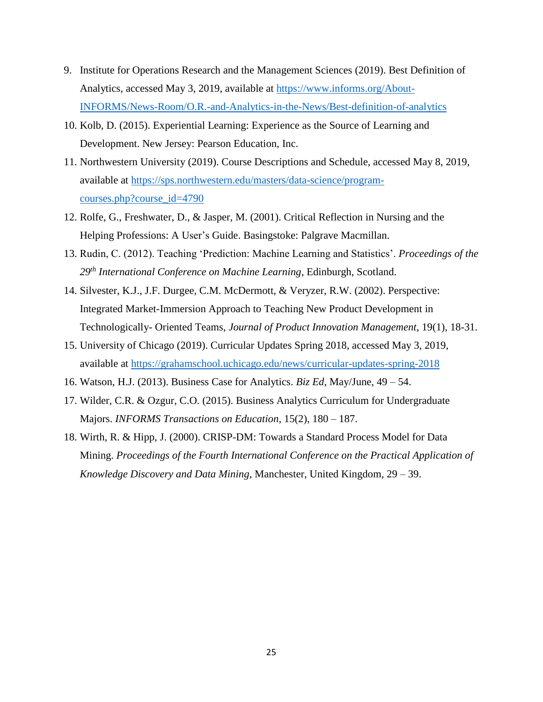- 9. Institute for Operations Research and the Management Sciences (2019). Best Definition of Analytics, accessed May 3, 2019, available at [https://www.informs.org/About-](https://www.informs.org/About-INFORMS/News-Room/O.R.-and-Analytics-in-the-News/Best-definition-of-analytics)[INFORMS/News-Room/O.R.-and-Analytics-in-the-News/Best-definition-of-analytics](https://www.informs.org/About-INFORMS/News-Room/O.R.-and-Analytics-in-the-News/Best-definition-of-analytics)
- 10. Kolb, D. (2015). Experiential Learning: Experience as the Source of Learning and Development. New Jersey: Pearson Education, Inc.
- 11. Northwestern University (2019). Course Descriptions and Schedule, accessed May 8, 2019, available at [https://sps.northwestern.edu/masters/data-science/program](https://sps.northwestern.edu/masters/data-science/program-courses.php?course_id=4790)[courses.php?course\\_id=4790](https://sps.northwestern.edu/masters/data-science/program-courses.php?course_id=4790)
- 12. Rolfe, G., Freshwater, D., & Jasper, M. (2001). Critical Reflection in Nursing and the Helping Professions: A User's Guide. Basingstoke: Palgrave Macmillan.
- 13. Rudin, C. (2012). Teaching 'Prediction: Machine Learning and Statistics'. *Proceedings of the 29th International Conference on Machine Learning*, Edinburgh, Scotland.
- 14. Silvester, K.J., J.F. Durgee, C.M. McDermott, & Veryzer, R.W. (2002). Perspective: Integrated Market-Immersion Approach to Teaching New Product Development in Technologically- Oriented Teams, *Journal of Product Innovation Management*, 19(1), 18-31.
- 15. University of Chicago (2019). Curricular Updates Spring 2018, accessed May 3, 2019, available at<https://grahamschool.uchicago.edu/news/curricular-updates-spring-2018>
- 16. Watson, H.J. (2013). Business Case for Analytics. *Biz Ed*, May/June, 49 54.
- 17. Wilder, C.R. & Ozgur, C.O. (2015). Business Analytics Curriculum for Undergraduate Majors. *INFORMS Transactions on Education*, 15(2), 180 – 187.
- 18. Wirth, R. & Hipp, J. (2000). CRISP-DM: Towards a Standard Process Model for Data Mining. *Proceedings of the Fourth International Conference on the Practical Application of Knowledge Discovery and Data Mining*, Manchester, United Kingdom, 29 – 39.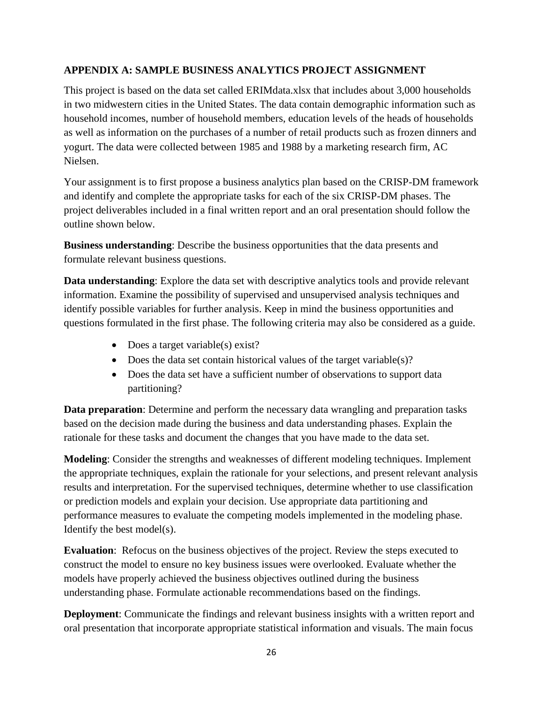# **APPENDIX A: SAMPLE BUSINESS ANALYTICS PROJECT ASSIGNMENT**

This project is based on the data set called ERIMdata.xlsx that includes about 3,000 households in two midwestern cities in the United States. The data contain demographic information such as household incomes, number of household members, education levels of the heads of households as well as information on the purchases of a number of retail products such as frozen dinners and yogurt. The data were collected between 1985 and 1988 by a marketing research firm, AC Nielsen.

Your assignment is to first propose a business analytics plan based on the CRISP-DM framework and identify and complete the appropriate tasks for each of the six CRISP-DM phases. The project deliverables included in a final written report and an oral presentation should follow the outline shown below.

**Business understanding**: Describe the business opportunities that the data presents and formulate relevant business questions.

**Data understanding**: Explore the data set with descriptive analytics tools and provide relevant information. Examine the possibility of supervised and unsupervised analysis techniques and identify possible variables for further analysis. Keep in mind the business opportunities and questions formulated in the first phase. The following criteria may also be considered as a guide.

- Does a target variable(s) exist?
- Does the data set contain historical values of the target variable(s)?
- Does the data set have a sufficient number of observations to support data partitioning?

**Data preparation**: Determine and perform the necessary data wrangling and preparation tasks based on the decision made during the business and data understanding phases. Explain the rationale for these tasks and document the changes that you have made to the data set.

**Modeling**: Consider the strengths and weaknesses of different modeling techniques. Implement the appropriate techniques, explain the rationale for your selections, and present relevant analysis results and interpretation. For the supervised techniques, determine whether to use classification or prediction models and explain your decision. Use appropriate data partitioning and performance measures to evaluate the competing models implemented in the modeling phase. Identify the best model(s).

**Evaluation:** Refocus on the business objectives of the project. Review the steps executed to construct the model to ensure no key business issues were overlooked. Evaluate whether the models have properly achieved the business objectives outlined during the business understanding phase. Formulate actionable recommendations based on the findings.

**Deployment**: Communicate the findings and relevant business insights with a written report and oral presentation that incorporate appropriate statistical information and visuals. The main focus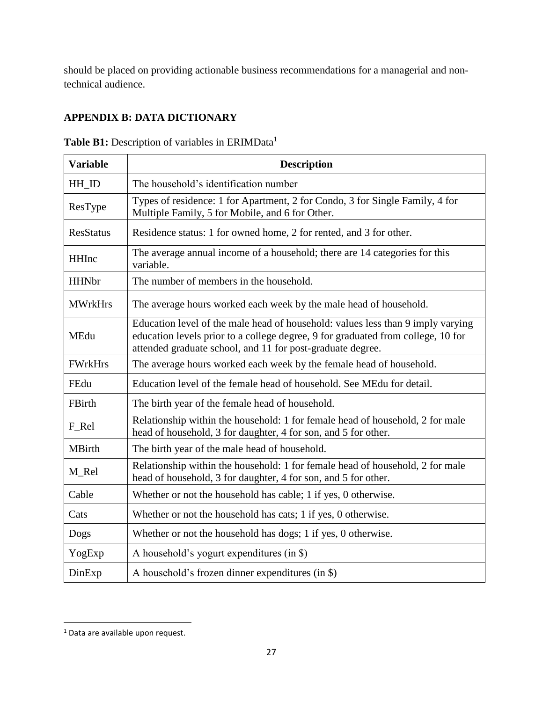should be placed on providing actionable business recommendations for a managerial and nontechnical audience.

# **APPENDIX B: DATA DICTIONARY**

| <b>Variable</b>  | <b>Description</b>                                                                                                                                                                                                                |
|------------------|-----------------------------------------------------------------------------------------------------------------------------------------------------------------------------------------------------------------------------------|
| HH_ID            | The household's identification number                                                                                                                                                                                             |
| ResType          | Types of residence: 1 for Apartment, 2 for Condo, 3 for Single Family, 4 for<br>Multiple Family, 5 for Mobile, and 6 for Other.                                                                                                   |
| <b>ResStatus</b> | Residence status: 1 for owned home, 2 for rented, and 3 for other.                                                                                                                                                                |
| <b>HHInc</b>     | The average annual income of a household; there are 14 categories for this<br>variable.                                                                                                                                           |
| <b>HHNbr</b>     | The number of members in the household.                                                                                                                                                                                           |
| <b>MWrkHrs</b>   | The average hours worked each week by the male head of household.                                                                                                                                                                 |
| MEdu             | Education level of the male head of household: values less than 9 imply varying<br>education levels prior to a college degree, 9 for graduated from college, 10 for<br>attended graduate school, and 11 for post-graduate degree. |
| <b>FWrkHrs</b>   | The average hours worked each week by the female head of household.                                                                                                                                                               |
| FEdu             | Education level of the female head of household. See MEdu for detail.                                                                                                                                                             |
| FBirth           | The birth year of the female head of household.                                                                                                                                                                                   |
| F_Rel            | Relationship within the household: 1 for female head of household, 2 for male<br>head of household, 3 for daughter, 4 for son, and 5 for other.                                                                                   |
| <b>MBirth</b>    | The birth year of the male head of household.                                                                                                                                                                                     |
| M_Rel            | Relationship within the household: 1 for female head of household, 2 for male<br>head of household, 3 for daughter, 4 for son, and 5 for other.                                                                                   |
| Cable            | Whether or not the household has cable; 1 if yes, 0 otherwise.                                                                                                                                                                    |
| Cats             | Whether or not the household has cats; 1 if yes, 0 otherwise.                                                                                                                                                                     |
| Dogs             | Whether or not the household has dogs; 1 if yes, 0 otherwise.                                                                                                                                                                     |
| YogExp           | A household's yogurt expenditures (in \$)                                                                                                                                                                                         |
| DinExp           | A household's frozen dinner expenditures (in \$)                                                                                                                                                                                  |

Table B1: Description of variables in ERIMData<sup>1</sup>

 $\overline{\phantom{a}}$ 

 $1$  Data are available upon request.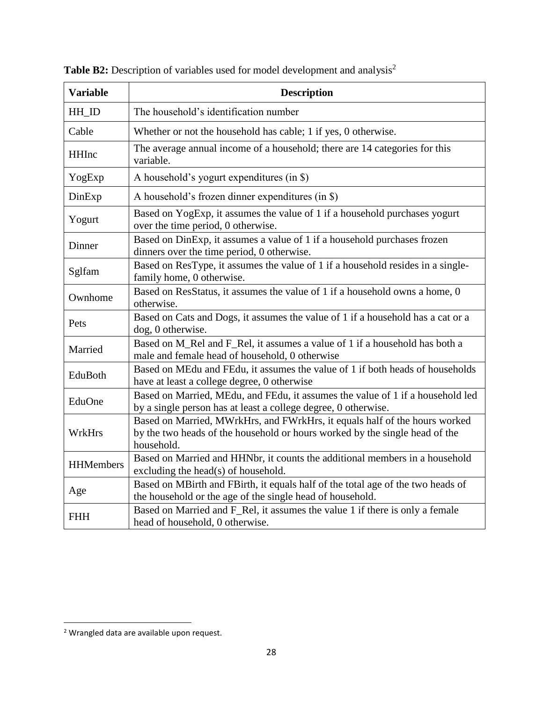| <b>Variable</b>                                                                                                                                            | <b>Description</b>                                                                                                                                                      |  |  |  |
|------------------------------------------------------------------------------------------------------------------------------------------------------------|-------------------------------------------------------------------------------------------------------------------------------------------------------------------------|--|--|--|
| HH_ID                                                                                                                                                      | The household's identification number                                                                                                                                   |  |  |  |
| Cable                                                                                                                                                      | Whether or not the household has cable; 1 if yes, 0 otherwise.                                                                                                          |  |  |  |
| <b>HHInc</b>                                                                                                                                               | The average annual income of a household; there are 14 categories for this<br>variable.                                                                                 |  |  |  |
| YogExp                                                                                                                                                     | A household's yogurt expenditures (in \$)                                                                                                                               |  |  |  |
| DinExp                                                                                                                                                     | A household's frozen dinner expenditures (in \$)                                                                                                                        |  |  |  |
| Yogurt                                                                                                                                                     | Based on YogExp, it assumes the value of 1 if a household purchases yogurt<br>over the time period, 0 otherwise.                                                        |  |  |  |
| Dinner                                                                                                                                                     | Based on DinExp, it assumes a value of 1 if a household purchases frozen<br>dinners over the time period, 0 otherwise.                                                  |  |  |  |
| Sglfam                                                                                                                                                     | Based on ResType, it assumes the value of 1 if a household resides in a single-<br>family home, 0 otherwise.                                                            |  |  |  |
| Ownhome                                                                                                                                                    | Based on ResStatus, it assumes the value of 1 if a household owns a home, 0<br>otherwise.                                                                               |  |  |  |
| Pets                                                                                                                                                       | Based on Cats and Dogs, it assumes the value of 1 if a household has a cat or a<br>dog, 0 otherwise.                                                                    |  |  |  |
| Married                                                                                                                                                    | Based on M_Rel and F_Rel, it assumes a value of 1 if a household has both a<br>male and female head of household, 0 otherwise                                           |  |  |  |
| EduBoth                                                                                                                                                    | Based on MEdu and FEdu, it assumes the value of 1 if both heads of households<br>have at least a college degree, 0 otherwise                                            |  |  |  |
| Based on Married, MEdu, and FEdu, it assumes the value of 1 if a household led<br>EduOne<br>by a single person has at least a college degree, 0 otherwise. |                                                                                                                                                                         |  |  |  |
| WrkHrs                                                                                                                                                     | Based on Married, MWrkHrs, and FWrkHrs, it equals half of the hours worked<br>by the two heads of the household or hours worked by the single head of the<br>household. |  |  |  |
| <b>HHMembers</b>                                                                                                                                           | Based on Married and HHNbr, it counts the additional members in a household<br>excluding the head(s) of household.                                                      |  |  |  |
| Age                                                                                                                                                        | Based on MBirth and FBirth, it equals half of the total age of the two heads of<br>the household or the age of the single head of household.                            |  |  |  |
| <b>FHH</b>                                                                                                                                                 | Based on Married and F_Rel, it assumes the value 1 if there is only a female<br>head of household, 0 otherwise.                                                         |  |  |  |

Table B2: Description of variables used for model development and analysis<sup>2</sup>

 $\overline{\phantom{a}}$ 

<sup>&</sup>lt;sup>2</sup> Wrangled data are available upon request.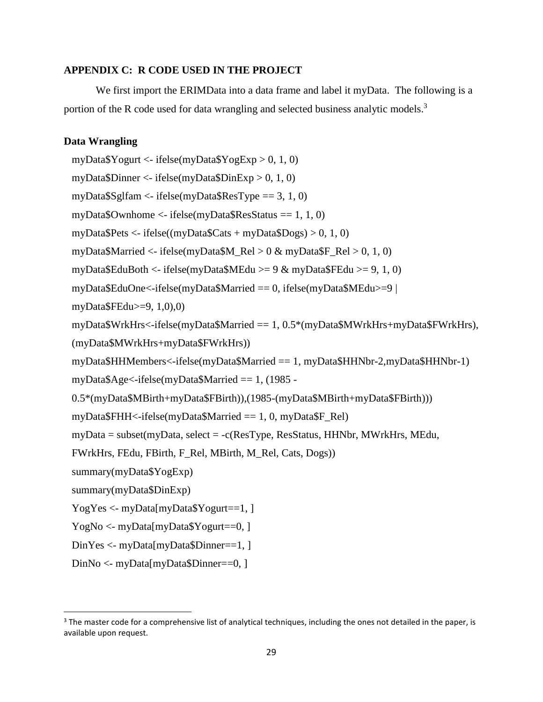## **APPENDIX C: R CODE USED IN THE PROJECT**

We first import the ERIMData into a data frame and label it myData. The following is a portion of the R code used for data wrangling and selected business analytic models.<sup>3</sup>

# **Data Wrangling**

 $\overline{\phantom{a}}$ 

```
myData\gammaogurt <- ifelse(myData\gammaogExp > 0, 1, 0)
myData$Dinner <- ifelse(myData$DinExp > 0, 1, 0)
myData\frac{Sg}{fam} < - ifelse(myData\frac{Sg}{gR}esType = 3, 1, 0)
myData\text{\$Owhome} \leq-ifelse(myData\text{\$ResStatus} == 1, 1, 0)
myData$Pets <- ifelse((myData$Cats + myData$Dogs) > 0, 1, 0)
myData$Married <- ifelse(myData$M_Rel > 0 & myData$F_Rel > 0, 1, 0)
myData$EduBoth <- ifelse(myData$MEdu >= 9 & myData$FEdu >= 9, 1, 0)
myData$EduOne<-ifelse(myData$Married == 0, ifelse(myData$MEdu>=9 | 
myData$FEdu>=9, 1,0),0)
myData$WrkHrs<-ifelse(myData$Married == 1, 0.5*(myData$MWrkHrs+myData$FWrkHrs), 
(myData$MWrkHrs+myData$FWrkHrs))
myData$HHMembers<-ifelse(myData$Married == 1, myData$HHNbr-2,myData$HHNbr-1)
myData$Age<-ifelse(myData$Married == 1, (1985 -
0.5*(myData$MBirth+myData$FBirth)),(1985-(myData$MBirth+myData$FBirth))) 
myDataFHH if else (myDataMarried = 1, 0, myDataFRel)
myData = subset(myData, select = -c(ResType, ResStatus, HHNbr, MWrkHrs, MEdu, 
FWrkHrs, FEdu, FBirth, F_Rel, MBirth, M_Rel, Cats, Dogs))
summary(myData$YogExp)
summary(myData$DinExp)
YogYes < myData(myData$Yogurt==1,]
YogNo <- myData[myData$Yogurt==0, ]
DinYes <- myData[myData$Dinner==1, ]
DinNo <- myData[myData$Dinner==0, ]
```
 $3$  The master code for a comprehensive list of analytical techniques, including the ones not detailed in the paper, is available upon request.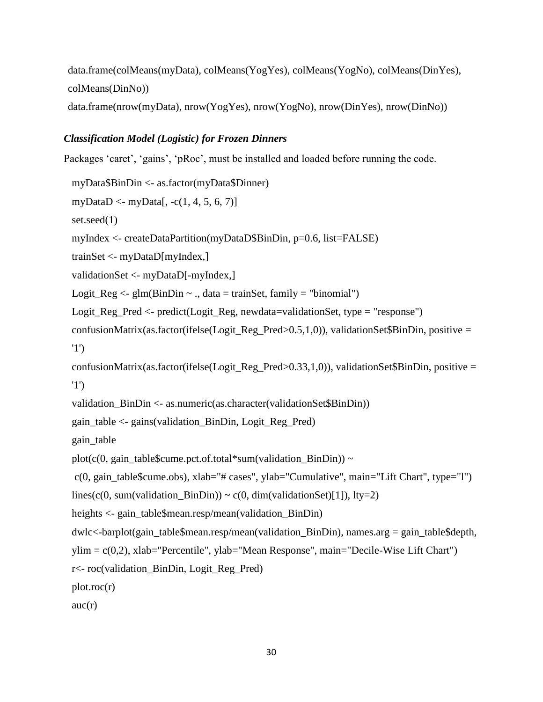data.frame(colMeans(myData), colMeans(YogYes), colMeans(YogNo), colMeans(DinYes), colMeans(DinNo))

data.frame(nrow(myData), nrow(YogYes), nrow(YogNo), nrow(DinYes), nrow(DinNo))

# *Classification Model (Logistic) for Frozen Dinners*

Packages 'caret', 'gains', 'pRoc', must be installed and loaded before running the code.

```
myData$BinDin <- as.factor(myData$Dinner)
myDataD <- myData[, -c(1, 4, 5, 6, 7)]
set.seed(1)
myIndex <- createDataPartition(myDataD$BinDin, p=0.6, list=FALSE)
trainSet <- myDataD[myIndex,]
validationSet <- myDataD[-myIndex,]
Logit_Reg <- g/m(BinDim \sim ., data = trainSet, family = "binomial")
Logit_Reg_Pred <- predict(Logit_Reg, newdata=validationSet, type = "response")
confusionMatrix(as.factor(ifelse(Logit_Reg_Pred>0.5,1,0)), validationSet$BinDin, positive =
'1')
confusionMatrix(as.factor(ifelse(Logit Reg Pred>0.33,1,0)), validationSet$BinDin, positive =
'1')
validation_BinDin <- as.numeric(as.character(validationSet$BinDin))
gain_table <- gains(validation_BinDin, Logit_Reg_Pred)
gain_table
plot(c(0, gain table$cume.pct.of.total*sum(validation BinDin)) ~
c(0, gain_table$cume.obs), xlab="# cases", ylab="Cumulative", main="Lift Chart", type="l")
lines(c(0, sum(validation BinDin)) ~ c(0, dim(validationSet)[1]), lty=2)
heights <- gain_table$mean.resp/mean(validation_BinDin)
dwlc<-barplot(gain_table$mean.resp/mean(validation_BinDin), names.arg = gain_table$depth, 
ylim = c(0,2), xlab="Percentile", ylab="Mean Response", main="Decile-Wise Lift Chart")
r<- roc(validation_BinDin, Logit_Reg_Pred)
plot.roc(r)auc(r)
```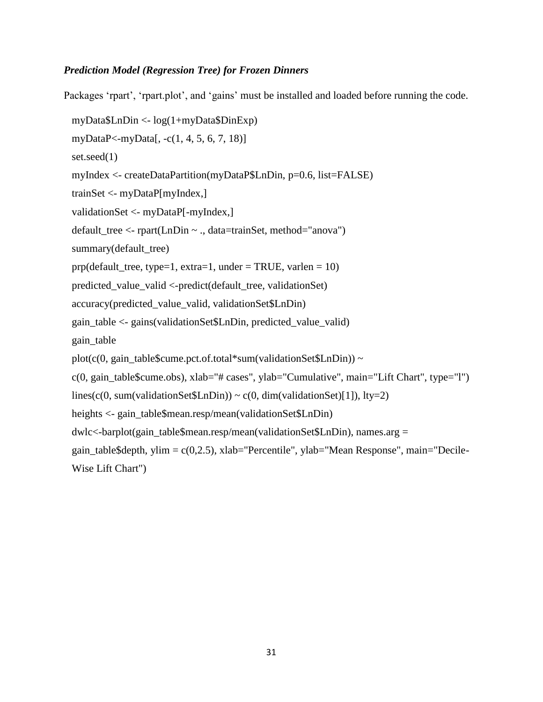# *Prediction Model (Regression Tree) for Frozen Dinners*

Packages 'rpart', 'rpart.plot', and 'gains' must be installed and loaded before running the code.

```
myData$LnDin <- log(1+myData$DinExp)
myDataP<-myData[, -c(1, 4, 5, 6, 7, 18)]
set.seed(1)
myIndex <- createDataPartition(myDataP$LnDin, p=0.6, list=FALSE)
trainSet <- myDataP[myIndex,]
validationSet <- myDataP[-myIndex,]
default_tree <- rpart(LnDin ~ ., data=trainSet, method="anova")
summary(default_tree)
prp(default_tree, type=1, extra=1, under = TRUE, varlen = 10)
predicted_value_valid <-predict(default_tree, validationSet)
accuracy(predicted_value_valid, validationSet$LnDin)
gain_table <- gains(validationSet$LnDin, predicted_value_valid)
gain_table
plot(c(0, gain_table\{Sum.c.}pct.of.total*sum(validationSet\{LnDin})) ~
c(0, gain_table$cume.obs), xlab="# cases", ylab="Cumulative", main="Lift Chart", type="l")
lines(c(0, sum(validationSet\text{SLnDin})) ~ c(0, dim(validationSet)[1]), lty=2)
heights <- gain_table$mean.resp/mean(validationSet$LnDin)
dwlc<-barplot(gain_table$mean.resp/mean(validationSet$LnDin), names.arg = 
gain_table$depth, ylim = c(0,2.5), xlab="Percentile", ylab="Mean Response", main="Decile-
Wise Lift Chart")
```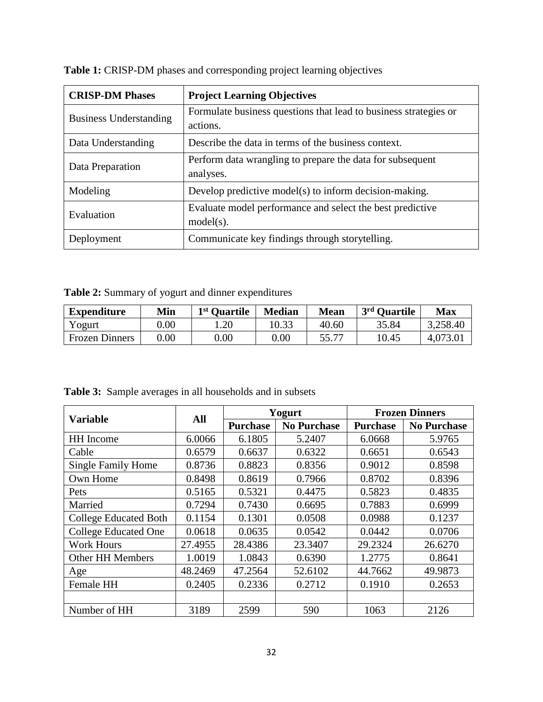| <b>CRISP-DM Phases</b>        | <b>Project Learning Objectives</b>                               |
|-------------------------------|------------------------------------------------------------------|
| <b>Business Understanding</b> | Formulate business questions that lead to business strategies or |
|                               | actions.                                                         |
| Data Understanding            | Describe the data in terms of the business context.              |
| Data Preparation              | Perform data wrangling to prepare the data for subsequent        |
|                               | analyses.                                                        |
| Modeling                      | Develop predictive model(s) to inform decision-making.           |
| Evaluation                    | Evaluate model performance and select the best predictive        |
|                               | $model(s)$ .                                                     |
| Deployment                    | Communicate key findings through storytelling.                   |

Table 1: CRISP-DM phases and corresponding project learning objectives

**Table 2:** Summary of yogurt and dinner expenditures

| <b>Expenditure</b>    | Min  | 1 <sup>st</sup> Ouartile | <b>Median</b> | <b>Mean</b> | 3rd Ouartile | <b>Max</b> |
|-----------------------|------|--------------------------|---------------|-------------|--------------|------------|
| Yogurt                | 0.00 | .20                      | 10.33         | 40.60       | 35.84        | 3,258.40   |
| <b>Frozen Dinners</b> | 0.00 | 0.00                     | $0.00\,$      | 55.77       | 10.45        | 4,073.01   |

|                              |         |                 | Yogurt             | <b>Frozen Dinners</b> |                    |  |
|------------------------------|---------|-----------------|--------------------|-----------------------|--------------------|--|
| <b>Variable</b>              | All     | <b>Purchase</b> | <b>No Purchase</b> | <b>Purchase</b>       | <b>No Purchase</b> |  |
| <b>HH</b> Income             | 6.0066  | 6.1805          | 5.2407             | 6.0668                | 5.9765             |  |
| Cable                        | 0.6579  | 0.6637          | 0.6322             | 0.6651                | 0.6543             |  |
| <b>Single Family Home</b>    | 0.8736  | 0.8823          | 0.8356             | 0.9012                | 0.8598             |  |
| Own Home                     | 0.8498  | 0.8619          | 0.7966             | 0.8702                | 0.8396             |  |
| Pets                         | 0.5165  | 0.5321          | 0.4475             | 0.5823                | 0.4835             |  |
| Married                      | 0.7294  | 0.7430          | 0.6695             | 0.7883                | 0.6999             |  |
| <b>College Educated Both</b> | 0.1154  | 0.1301          | 0.0508             | 0.0988                | 0.1237             |  |
| <b>College Educated One</b>  | 0.0618  | 0.0635          | 0.0542             | 0.0442                | 0.0706             |  |
| <b>Work Hours</b>            | 27.4955 | 28.4386         | 23.3407            | 29.2324               | 26.6270            |  |
| <b>Other HH Members</b>      | 1.0019  | 1.0843          | 0.6390             | 1.2775                | 0.8641             |  |
| Age                          | 48.2469 | 47.2564         | 52.6102            | 44.7662               | 49.9873            |  |
| Female HH                    | 0.2405  | 0.2336          | 0.2712             | 0.1910                | 0.2653             |  |
|                              |         |                 |                    |                       |                    |  |
| Number of HH                 | 3189    | 2599            | 590                | 1063                  | 2126               |  |

**Table 3:** Sample averages in all households and in subsets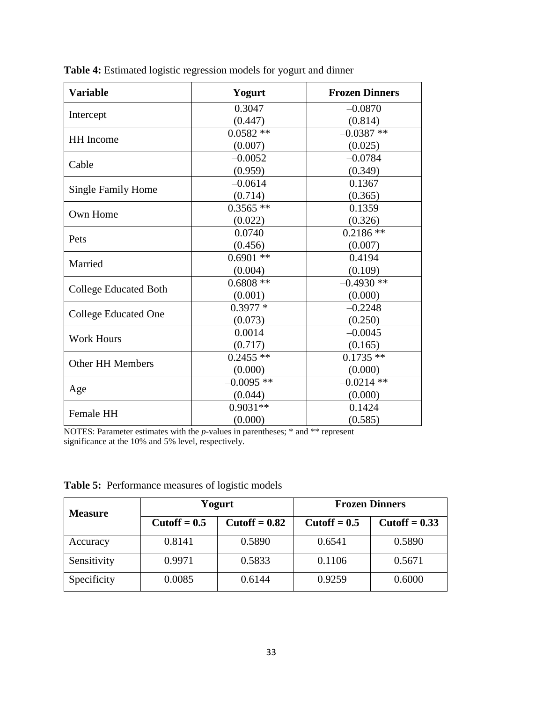| <b>Variable</b>              | Yogurt                                                                                                                             | <b>Frozen Dinners</b> |
|------------------------------|------------------------------------------------------------------------------------------------------------------------------------|-----------------------|
|                              | 0.3047                                                                                                                             | $-0.0870$             |
| Intercept                    | (0.447)                                                                                                                            | (0.814)               |
|                              | $0.0582**$                                                                                                                         | $-0.0387**$           |
| <b>HH</b> Income             | (0.007)                                                                                                                            | (0.025)               |
|                              | $-0.0052$                                                                                                                          | $-0.0784$             |
| Cable                        | (0.959)                                                                                                                            | (0.349)               |
|                              | $-0.0614$                                                                                                                          | 0.1367                |
| <b>Single Family Home</b>    | (0.714)                                                                                                                            | (0.365)               |
| Own Home                     | $0.3565$ **                                                                                                                        | 0.1359                |
|                              | (0.022)                                                                                                                            | (0.326)               |
|                              | 0.0740                                                                                                                             | $0.2186**$            |
| Pets                         | (0.456)                                                                                                                            | (0.007)               |
| Married                      | $0.6901$ **                                                                                                                        | 0.4194                |
|                              | (0.004)                                                                                                                            | (0.109)               |
|                              | $0.6808**$                                                                                                                         | $-0.4930**$           |
| <b>College Educated Both</b> | (0.001)<br>$0.3977*$<br>(0.073)<br>0.0014<br>(0.717)<br>$0.2455$ **<br>(0.000)<br>$-0.0095$ **<br>(0.044)<br>$0.9031**$<br>(0.000) | (0.000)               |
|                              |                                                                                                                                    | $-0.2248$             |
| <b>College Educated One</b>  |                                                                                                                                    | (0.250)               |
| <b>Work Hours</b>            |                                                                                                                                    | $-0.0045$             |
|                              |                                                                                                                                    | (0.165)               |
| <b>Other HH Members</b>      |                                                                                                                                    | $0.1735**$            |
|                              |                                                                                                                                    | (0.000)               |
|                              |                                                                                                                                    | $-0.0214$ **          |
| Age                          |                                                                                                                                    | (0.000)               |
| <b>Female HH</b>             |                                                                                                                                    | 0.1424                |
|                              |                                                                                                                                    | (0.585)               |

**Table 4:** Estimated logistic regression models for yogurt and dinner

NOTES: Parameter estimates with the *p*-values in parentheses; \* and \*\* represent significance at the 10% and 5% level, respectively.

| <b>Measure</b> |                       | Yogurt                 | <b>Frozen Dinners</b> |                        |  |
|----------------|-----------------------|------------------------|-----------------------|------------------------|--|
|                | $\text{Cutoff} = 0.5$ | $\text{Cutoff} = 0.82$ | $\text{Cutoff} = 0.5$ | $\text{Cutoff} = 0.33$ |  |
| Accuracy       | 0.8141                | 0.5890                 | 0.6541                | 0.5890                 |  |
| Sensitivity    | 0.9971                | 0.5833                 | 0.1106                | 0.5671                 |  |
| Specificity    | 0.0085                | 0.6144                 | 0.9259                | 0.6000                 |  |

**Table 5:** Performance measures of logistic models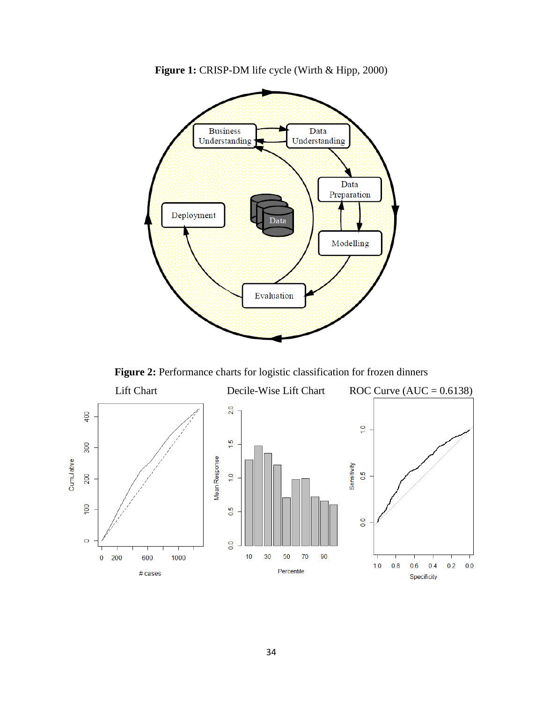

**Figure 1:** CRISP-DM life cycle (Wirth & Hipp, 2000)

**Figure 2:** Performance charts for logistic classification for frozen dinners